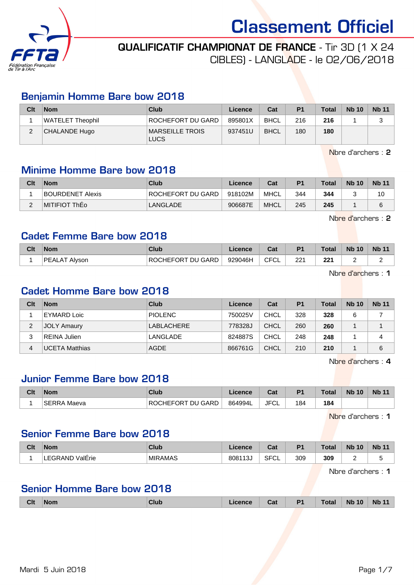

## QUALIFICATIF CHAMPIONAT DE FRANCE - Tir 3D (1 X 24

CIBLES) - LANGLADE - le 02/06/2018

### Benjamin Homme Bare bow 2018

| Clt         | <b>Nom</b>       | Club                    | Licence | Cat         | P <sub>1</sub> | <b>Total</b> | <b>Nb 10</b> | <b>Nb 11</b> |
|-------------|------------------|-------------------------|---------|-------------|----------------|--------------|--------------|--------------|
|             | WATELET Theophil | ROCHEFORT DU GARD       | 895801X | <b>BHCL</b> | 216            | 216          |              | っ            |
| $\sim$<br>∠ | CHALANDE Hugo    | MARSEILLE TROIS<br>LUCS | 937451U | <b>BHCL</b> | 180            | 180          |              |              |

Nbre d'archers : 2

### Minime Homme Bare bow 2018

| Clt        | <b>Nom</b>       | Club              | Licence | Cat         | P <sub>1</sub> | <b>Total</b> | <b>Nb 10</b> | <b>Nb 11</b> |
|------------|------------------|-------------------|---------|-------------|----------------|--------------|--------------|--------------|
|            | BOURDENET Alexis | ROCHEFORT DU GARD | 918102M | <b>MHCL</b> | 344            | 344          |              | 10           |
| $\sqrt{2}$ | MITIFIOT ThEo    | <b>LANGLADE</b>   | 906687E | <b>MHCL</b> | 245            | 245          |              | 6            |

Nbre d'archers : 2

#### Cadet Femme Bare bow 2018

| Clt | <b>Nom</b>           | Club              | Licence | $\mathsf{r}_{\mathsf{a}\mathsf{f}}$<br>ual | <b>P1</b> | <b>Total</b> | <b>Nb 10</b> | <b>Nb 11</b> |
|-----|----------------------|-------------------|---------|--------------------------------------------|-----------|--------------|--------------|--------------|
|     | <b>PEALAT Alyson</b> | ROCHEFORT DU GARD | 929046H | <b>CFCL</b>                                | 221       | つつ 1<br>"    | -            | ∽            |

Nbre d'archers : 1

#### Cadet Homme Bare bow 2018

| Clt | <b>Nom</b>         | Club           | Licence | Cat         | P <sub>1</sub> | <b>Total</b> | <b>Nb 10</b> | <b>Nb 11</b> |
|-----|--------------------|----------------|---------|-------------|----------------|--------------|--------------|--------------|
|     | EYMARD Loic        | <b>PIOLENC</b> | 750025V | <b>CHCL</b> | 328            | 328          | 6            |              |
| 2   | <b>JOLY Amaury</b> | LABLACHERE     | 778328J | <b>CHCL</b> | 260            | 260          |              |              |
| 3   | REINA Julien       | LANGLADE       | 824887S | <b>CHCL</b> | 248            | 248          |              | 4            |
| 4   | UCETA Matthias     | <b>AGDE</b>    | 866761G | CHCL        | 210            | 210          |              | 6            |

Nbre d'archers : 4

### Junior Femme Bare bow 2018

| Clt | <b>Nom</b>            | Club              | Licence | <b>Table</b><br>⊍ou | D <sub>1</sub> | $\tau$ otal | 10<br><b>N<sub>b</sub></b> | <b>Nb 11</b> |
|-----|-----------------------|-------------------|---------|---------------------|----------------|-------------|----------------------------|--------------|
|     | <b>SERRA</b><br>Maeva | ROCHEFORT DU GARD | 864994L | JFC'<br>◡∟          | 184            | 184         |                            |              |

Nbre d'archers : 1

### Senior Femme Bare bow 2018

| Clt | <b>Nom</b>             | <b>Club</b>    | <b>_icence</b> | ◠∼<br>va.         | P <sub>1</sub> | <b>Total</b> | <b>Nb</b><br>10 | <b>Nb 11</b> |
|-----|------------------------|----------------|----------------|-------------------|----------------|--------------|-----------------|--------------|
|     | ValErie<br>:GRAND<br>⊷ | <b>MIRAMAS</b> | 808113<br>ل ت  | <b>SFCI</b><br>◡∟ | 309            | 309          | -               |              |

Nbre d'archers : 1

### Senior Homme Bare bow 2018

| <b>Clt</b> | ∣Nom | <b>Club</b> | .icence | Cat | P <sub>1</sub> | <b>Total</b> | <b>Nb 10</b> | <b>Nb 11</b> |
|------------|------|-------------|---------|-----|----------------|--------------|--------------|--------------|
|            |      |             |         |     |                |              |              |              |

Mardi 5 Juin 2018 **Page 1/7**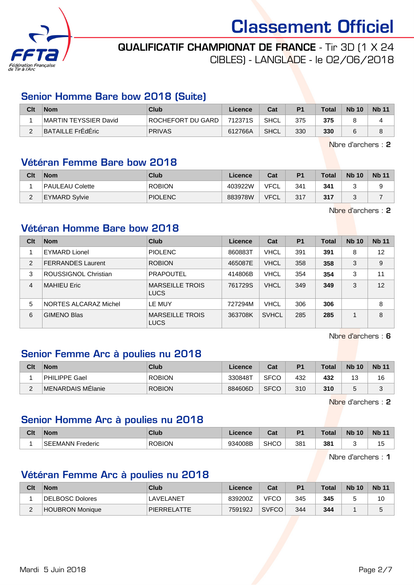

# QUALIFICATIF CHAMPIONAT DE FRANCE - Tir 3D (1 X 24

CIBLES) - LANGLADE - le 02/06/2018

### Senior Homme Bare bow 2018 (Suite)

| Clt | <b>Nom</b>            | Club              | Licence | Cat         | P <sub>1</sub> | <b>Total</b> | <b>Nb 10</b> | <b>Nb 11</b> |
|-----|-----------------------|-------------------|---------|-------------|----------------|--------------|--------------|--------------|
|     | MARTIN TEYSSIER David | ROCHEFORT DU GARD | 712371S | <b>SHCL</b> | 375            | 375          |              |              |
| -   | BATAILLE FrEdEric     | <b>PRIVAS</b>     | 612766A | <b>SHCL</b> | 330            | 330          | 6            | $\circ$      |

Nbre d'archers : 2

#### Vétéran Femme Bare bow 2018

| Clt      | <b>Nom</b>           | Club           | Licence | Cat         | P <sub>1</sub> | <b>Total</b> | <b>Nb 10</b> | <b>Nb 11</b> |
|----------|----------------------|----------------|---------|-------------|----------------|--------------|--------------|--------------|
|          | PAULEAU Colette      | <b>ROBION</b>  | 403922W | <b>VFCL</b> | 341            | 341          |              |              |
| <u>_</u> | <b>EYMARD Sylvie</b> | <b>PIOLENC</b> | 883978W | <b>VFCL</b> | 317            | 317          |              |              |

Nbre d'archers : 2

### Vétéran Homme Bare bow 2018

| Clt            | <b>Nom</b>               | Club                                  | Licence | Cat          | P <sub>1</sub> | <b>Total</b> | <b>Nb 10</b> | <b>Nb 11</b> |
|----------------|--------------------------|---------------------------------------|---------|--------------|----------------|--------------|--------------|--------------|
|                | <b>EYMARD Lionel</b>     | <b>PIOLENC</b>                        | 860883T | <b>VHCL</b>  | 391            | 391          | 8            | 12           |
| 2              | <b>FERRANDES Laurent</b> | <b>ROBION</b>                         | 465087E | <b>VHCL</b>  | 358            | 358          | 3            | 9            |
| 3              | ROUSSIGNOL Christian     | <b>PRAPOUTEL</b>                      | 414806B | <b>VHCL</b>  | 354            | 354          | 3            | 11           |
| $\overline{4}$ | <b>MAHIEU Eric</b>       | <b>MARSEILLE TROIS</b><br><b>LUCS</b> | 761729S | <b>VHCL</b>  | 349            | 349          | 3            | 12           |
| 5              | NORTES ALCARAZ Michel    | LE MUY                                | 727294M | <b>VHCL</b>  | 306            | 306          |              | 8            |
| 6              | <b>GIMENO Blas</b>       | <b>MARSEILLE TROIS</b><br><b>LUCS</b> | 363708K | <b>SVHCL</b> | 285            | 285          |              | 8            |

Nbre d'archers : 6

### Senior Femme Arc à poulies nu 2018

| Clt | <b>Nom</b>        | Club          | Licence | Cat         | P <sub>1</sub> | Total | <b>Nb 10</b> | <b>Nb 11</b> |
|-----|-------------------|---------------|---------|-------------|----------------|-------|--------------|--------------|
|     | PHILIPPE Gael     | <b>ROBION</b> | 330848T | <b>SFCO</b> | 432            | 432   | ں            | 16           |
|     | MENARDAIS MElanie | <b>ROBION</b> | 884606D | <b>SFCO</b> | 310            | 310   |              |              |

Nbre d'archers : 2

### Senior Homme Arc à poulies nu 2018

| Clt | <b>Nom</b>                             | Club          | .icence | Col.<br>va. | D <sub>4</sub> | <b>Total</b> | <b>N<sub>b</sub></b><br>10 | <b>Nb</b> |
|-----|----------------------------------------|---------------|---------|-------------|----------------|--------------|----------------------------|-----------|
|     | <b>SEE</b><br><b>EMANN</b><br>Frederic | <b>ROBION</b> | 934008B | <b>SHCC</b> | 381            | 381          |                            | ں ا       |

Nbre d'archers : 1

# Vétéran Femme Arc à poulies nu 2018

| Clt | <b>Nom</b>      | Club                                | Licence | Cat          | P <sub>1</sub> | <b>Total</b> | <b>Nb 10</b> | <b>Nb 11</b> |
|-----|-----------------|-------------------------------------|---------|--------------|----------------|--------------|--------------|--------------|
|     | DELBOSC Dolores | $\sf{\color{red}\textsf{AVELANET}}$ | 839200Z | <b>VFCO</b>  | 345            | 345          |              | 10           |
| -   | HOUBRON Monique | <b>PIERRELATTE</b>                  | 759192J | <b>SVFCO</b> | 344            | 344          |              |              |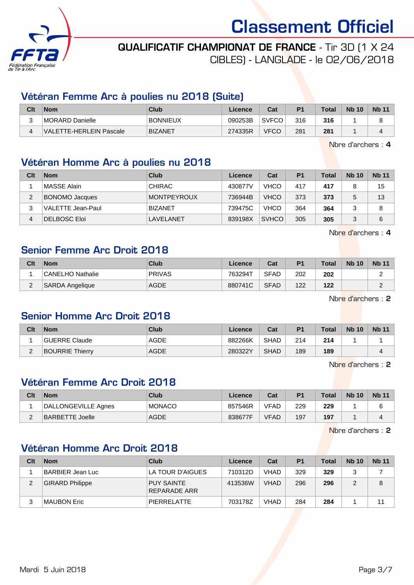

## QUALIFICATIF CHAMPIONAT DE FRANCE - Tir 3D (1 X 24

CIBLES) - LANGLADE - le 02/06/2018

### Vétéran Femme Arc à poulies nu 2018 (Suite)

| Clt | <b>Nom</b>              | Club            | Licence | Cat          | P <sub>1</sub> | Total | <b>Nb 10</b> | <b>Nb 11</b> |
|-----|-------------------------|-----------------|---------|--------------|----------------|-------|--------------|--------------|
| ົ   | MORARD Danielle         | <b>BONNIEUX</b> | 090253B | <b>SVFCO</b> | 316            | 316   |              |              |
|     | VALETTE-HERLEIN Pascale | <b>BIZANET</b>  | 274335R | <b>VFCO</b>  | 281            | 281   |              |              |

Nbre d'archers : 4

### Vétéran Homme Arc à poulies nu 2018

| Clt | <b>Nom</b>            | Club           | Licence | Cat          | P <sub>1</sub> | Total | <b>Nb 10</b> | <b>Nb 11</b> |
|-----|-----------------------|----------------|---------|--------------|----------------|-------|--------------|--------------|
|     | MASSE Alain           | <b>CHIRAC</b>  | 430877V | <b>VHCO</b>  | 417            | 417   |              | 15           |
| 2   | <b>BONOMO Jacques</b> | MONTPEYROUX    | 736944B | <b>VHCO</b>  | 373            | 373   |              | 13           |
| 3   | VALETTE Jean-Paul     | <b>BIZANET</b> | 739475C | <b>VHCO</b>  | 364            | 364   |              | 8            |
| 4   | <b>DELBOSC Eloi</b>   | LAVELANET      | 839198X | <b>SVHCO</b> | 305            | 305   |              | 6            |

Nbre d'archers : 4

### Senior Femme Arc Droit 2018

| Clt      | <b>Nom</b>              | Club          | Licence | Cat         | P <sub>1</sub> | <b>Total</b> | <b>Nb 10</b> | <b>Nb 11</b> |
|----------|-------------------------|---------------|---------|-------------|----------------|--------------|--------------|--------------|
|          | <b>CANELHO Nathalie</b> | <b>PRIVAS</b> | 763294T | <b>SFAD</b> | 202            | 202          |              |              |
| <u>_</u> | SARDA Angelique         | <b>AGDE</b>   | 880741C | <b>SFAD</b> | 122            | 122          |              |              |

Nbre d'archers : 2

### Senior Homme Arc Droit 2018

| Clt      | <b>Nom</b>             | Club        | Licence | Cat         | P <sub>1</sub> | <b>Total</b> | <b>Nb 10</b> | <b>Nb 11</b> |
|----------|------------------------|-------------|---------|-------------|----------------|--------------|--------------|--------------|
|          | GUERRE Claude          | <b>AGDE</b> | 882266K | <b>SHAD</b> | 214            | 214          |              |              |
| $\Omega$ | <b>BOURRIE Thierry</b> | <b>AGDE</b> | 280322Y | <b>SHAD</b> | 189            | 189          |              |              |

Nbre d'archers : 2

### Vétéran Femme Arc Droit 2018

| Clt | <b>Nom</b>          | Club          | Licence | Cat         | P <sub>1</sub> | <b>Total</b> | <b>Nb 10</b> | <b>Nb 11</b> |
|-----|---------------------|---------------|---------|-------------|----------------|--------------|--------------|--------------|
|     | DALLONGEVILLE Agnes | <b>MONACO</b> | 857546R | VFAD        | 229            | 229          |              | 6            |
|     | BARBETTE Joelle     | <b>AGDE</b>   | 838677F | <b>VFAD</b> | 197            | 197          |              |              |

Nbre d'archers : 2

### Vétéran Homme Arc Droit 2018

| Clt | <b>Nom</b>             | Club                              | Licence | Cat         | P <sub>1</sub> | <b>Total</b> | <b>Nb 10</b> | <b>Nb</b> 11 |
|-----|------------------------|-----------------------------------|---------|-------------|----------------|--------------|--------------|--------------|
|     | BARBIER Jean Luc       | LA TOUR D'AIGUES                  | 710312D | <b>VHAD</b> | 329            | 329          | ◠            |              |
| 2   | <b>GIRARD Philippe</b> | <b>PUY SAINTE</b><br>REPARADE ARR | 413536W | <b>VHAD</b> | 296            | 296          | 2            | 8            |
| 3   | ∣MAUBON Eric           | PIERRELATTE                       | 703178Z | <b>VHAD</b> | 284            | 284          |              | 11           |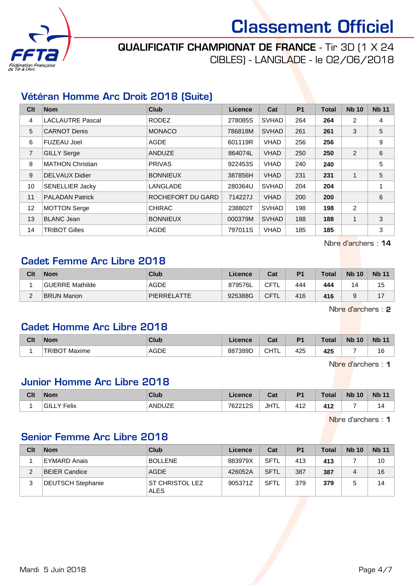

# QUALIFICATIF CHAMPIONAT DE FRANCE - Tir 3D (1 X 24

CIBLES) - LANGLADE - le 02/06/2018

### Vétéran Homme Arc Droit 2018 (Suite)

| Clt            | <b>Nom</b>              | Club              | Licence | Cat          | P <sub>1</sub> | <b>Total</b> | <b>Nb 10</b> | <b>Nb 11</b> |
|----------------|-------------------------|-------------------|---------|--------------|----------------|--------------|--------------|--------------|
| 4              | <b>LACLAUTRE Pascal</b> | <b>RODEZ</b>      | 278085S | <b>SVHAD</b> | 264            | 264          | 2            | 4            |
| 5              | <b>CARNOT Denis</b>     | <b>MONACO</b>     | 786818M | <b>SVHAD</b> | 261            | 261          | 3            | 5            |
| 6              | <b>FUZEAU Joel</b>      | <b>AGDE</b>       | 601119R | <b>VHAD</b>  | 256            | 256          |              | 9            |
| $\overline{7}$ | <b>GILLY Serge</b>      | ANDUZE            | 864074L | <b>VHAD</b>  | 250            | 250          | 2            | 6            |
| 8              | MATHON Christian        | <b>PRIVAS</b>     | 922453S | <b>VHAD</b>  | 240            | 240          |              | 5            |
| 9              | DELVAUX Didier          | <b>BONNIEUX</b>   | 387856H | <b>VHAD</b>  | 231            | 231          | $\mathbf 1$  | 5            |
| 10             | <b>SENELLIER Jacky</b>  | LANGLADE          | 280364U | <b>SVHAD</b> | 204            | 204          |              |              |
| 11             | <b>PALADAN Patrick</b>  | ROCHEFORT DU GARD | 714227J | <b>VHAD</b>  | 200            | 200          |              | 6            |
| 12             | MOTTON Serge            | <b>CHIRAC</b>     | 238802T | <b>SVHAD</b> | 198            | 198          | 2            |              |
| 13             | <b>BLANC Jean</b>       | <b>BONNIEUX</b>   | 000379M | <b>SVHAD</b> | 188            | 188          | 1            | 3            |
| 14             | <b>TRIBOT Gilles</b>    | AGDE              | 797011S | <b>VHAD</b>  | 185            | 185          |              | 3            |

Nbre d'archers : 14

#### Cadet Femme Arc Libre 2018

| Clt | <b>Nom</b>        | <b>Club</b>        | Licence | Cat         | P <sub>1</sub> | <b>Total</b> | <b>Nb 10</b> | <b>Nb 11</b> |
|-----|-------------------|--------------------|---------|-------------|----------------|--------------|--------------|--------------|
|     | GUERRE Mathilde   | <b>AGDE</b>        | 879576L | CFT         | 444            | 444          |              | 15           |
| ີ   | <b>BRUN Manon</b> | <b>PIERRELATTE</b> | 925388G | <b>CFTL</b> | 416            | 416          |              |              |

Nbre d'archers : 2

#### Cadet Homme Arc Libre 2018

| Clt | <b>Nom</b>      | Club        | <b>_icence</b> | <b>Table</b><br>udl | D <sub>4</sub> | Total | <b>N<sub>b</sub></b><br>10 | <b>Nb 11</b> |
|-----|-----------------|-------------|----------------|---------------------|----------------|-------|----------------------------|--------------|
|     | Maxime<br>TRIBO | <b>AGDE</b> | 887389D        | $-$<br>ົ<br>◡▯▯∟    | 425            | 425   |                            | $\sim$<br>۱b |

Nbre d'archers : 1

### Junior Homme Arc Libre 2018

| Clt | <b>Nom</b>        | Club   | ∠icence | $T - 1$<br>val | P <sub>1</sub>     | <b>Total</b> | <b>Nb 10</b> | <b>Nb 11</b> |
|-----|-------------------|--------|---------|----------------|--------------------|--------------|--------------|--------------|
|     | 'GILL\<br>Y Felix | ANDUZE | 762212S | <b>JHTL</b>    | $41^\circ$<br>FI 4 | 412          |              | 14           |

Nbre d'archers : 1

#### Senior Femme Arc Libre 2018

| Clt | <b>Nom</b>               | Club                            | Licence | Cat         | P <sub>1</sub> | <b>Total</b> | <b>Nb 10</b> | <b>Nb 11</b> |
|-----|--------------------------|---------------------------------|---------|-------------|----------------|--------------|--------------|--------------|
|     | <b>EYMARD Anais</b>      | <b>BOLLENE</b>                  | 883979X | <b>SFTL</b> | 413            | 413          |              | 10           |
| c   | <b>BEIER Candice</b>     | <b>AGDE</b>                     | 426052A | <b>SFTL</b> | 387            | 387          |              | 16           |
| ົ   | <b>DEUTSCH Stephanie</b> | ∂ST CHRISTOL LEZ<br><b>ALES</b> | 905371Z | <b>SFTL</b> | 379            | 379          |              | 14           |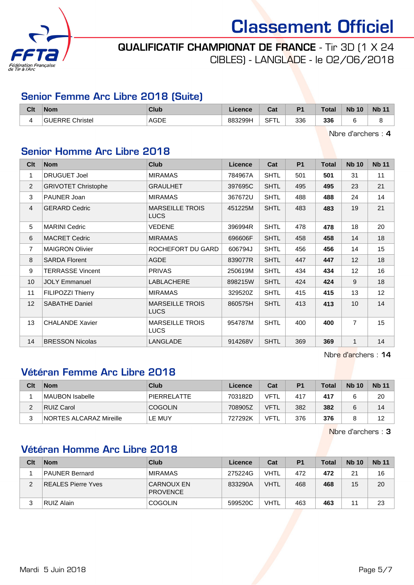

# QUALIFICATIF CHAMPIONAT DE FRANCE - Tir 3D (1 X 24

CIBLES) - LANGLADE - le 02/06/2018

### Senior Femme Arc Libre 2018 (Suite)

| Clt | <b>Nom</b> | <b>Club</b>         | Licence | Col.<br><b>val</b>         | D.  | <b>Total</b> | <b>Nb</b><br>10 | <b>Nb 11</b> |
|-----|------------|---------------------|---------|----------------------------|-----|--------------|-----------------|--------------|
| { } | Christel   | <b>AGDE</b><br>____ | 883299H | <b>SFT</b><br>--<br>$\sim$ | 336 | 336<br>- - - |                 | -            |

Nbre d'archers : 4

# Senior Homme Arc Libre 2018

| Clt            | <b>Nom</b>                 | <b>Club</b>                           | <b>Licence</b> | Cat         | <b>P1</b> | <b>Total</b> | <b>Nb 10</b>      | <b>Nb 11</b> |
|----------------|----------------------------|---------------------------------------|----------------|-------------|-----------|--------------|-------------------|--------------|
| 1              | <b>DRUGUET Joel</b>        | <b>MIRAMAS</b>                        | 784967A        | <b>SHTL</b> | 501       | 501          | 31                | 11           |
| $\overline{2}$ | <b>GRIVOTET Christophe</b> | <b>GRAULHET</b>                       | 397695C        | <b>SHTL</b> | 495       | 495          | 23                | 21           |
| 3              | PAUNER Joan                | <b>MIRAMAS</b>                        | 367672U        | <b>SHTL</b> | 488       | 488          | 24                | 14           |
| $\overline{4}$ | <b>GERARD Cedric</b>       | <b>MARSEILLE TROIS</b><br><b>LUCS</b> | 451225M        | <b>SHTL</b> | 483       | 483          | 19                | 21           |
| 5              | <b>MARINI Cedric</b>       | VEDENE                                | 396994R        | <b>SHTL</b> | 478       | 478          | 18                | 20           |
| 6              | <b>MACRET Cedric</b>       | <b>MIRAMAS</b>                        | 696606F        | <b>SHTL</b> | 458       | 458          | 14                | 18           |
| $\overline{7}$ | <b>MAIGRON Olivier</b>     | ROCHEFORT DU GARD                     | 606794J        | <b>SHTL</b> | 456       | 456          | 14                | 15           |
| 8              | <b>SARDA Florent</b>       | <b>AGDE</b>                           | 839077R        | <b>SHTL</b> | 447       | 447          | 12                | 18           |
| 9              | <b>TERRASSE Vincent</b>    | <b>PRIVAS</b>                         | 250619M        | <b>SHTL</b> | 434       | 434          | $12 \overline{ }$ | 16           |
| 10             | <b>JOLY Emmanuel</b>       | <b>LABLACHERE</b>                     | 898215W        | <b>SHTL</b> | 424       | 424          | 9                 | 18           |
| 11             | FILIPOZZI Thierry          | <b>MIRAMAS</b>                        | 329520Z        | <b>SHTL</b> | 415       | 415          | 13                | 12           |
| 12             | <b>SABATHE Daniel</b>      | <b>MARSEILLE TROIS</b><br><b>LUCS</b> | 860575H        | <b>SHTL</b> | 413       | 413          | 10 <sup>1</sup>   | 14           |
| 13             | <b>CHALANDE Xavier</b>     | <b>MARSEILLE TROIS</b><br><b>LUCS</b> | 954787M        | <b>SHTL</b> | 400       | 400          | $\overline{7}$    | 15           |
| 14             | <b>BRESSON Nicolas</b>     | LANGLADE                              | 914268V        | <b>SHTL</b> | 369       | 369          | $\mathbf{1}$      | 14           |

Nbre d'archers : 14

### Vétéran Femme Arc Libre 2018

| Clt | <b>Nom</b>                     | Club           | Licence | Cat         | P <sub>1</sub> | <b>Total</b> | <b>Nb 10</b> | <b>Nb 11</b> |
|-----|--------------------------------|----------------|---------|-------------|----------------|--------------|--------------|--------------|
|     | MAUBON Isabelle                | PIFRRFI ATTF   | 703182D | VFTL        | 417            | 417          |              | 20           |
|     | RUIZ Carol                     | <b>COGOLIN</b> | 708905Z | <b>VFTL</b> | 382            | 382          |              | 14           |
|     | <b>NORTES ALCARAZ Mireille</b> | LE MUY         | 727292K | VFTL        | 376            | 376          |              | 12           |

Nbre d'archers : 3

## Vétéran Homme Arc Libre 2018

| Clt | <b>Nom</b>            | Club                                 | Licence | Cat         | P <sub>1</sub> | <b>Total</b> | <b>Nb 10</b> | <b>Nb</b> 11 |
|-----|-----------------------|--------------------------------------|---------|-------------|----------------|--------------|--------------|--------------|
|     | <b>PAUNER Bernard</b> | <b>MIRAMAS</b>                       | 275224G | <b>VHTL</b> | 472            | 472          | 21           | 16           |
| 2   | REALES Pierre Yves    | <b>CARNOUX EN</b><br><b>PROVENCE</b> | 833290A | <b>VHTL</b> | 468            | 468          | 15           | 20           |
|     | RUIZ Alain            | <b>COGOLIN</b>                       | 599520C | <b>VHTL</b> | 463            | 463          |              | 23           |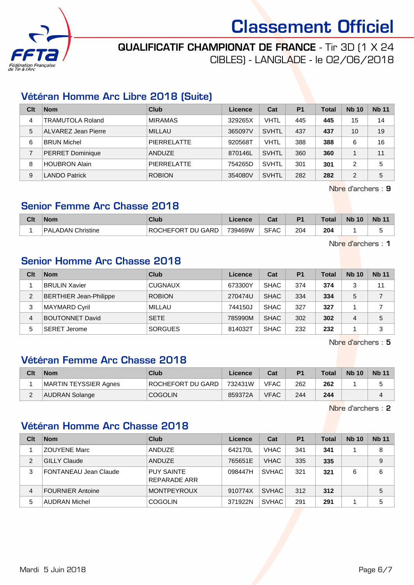

# QUALIFICATIF CHAMPIONAT DE FRANCE - Tir 3D (1 X 24

CIBLES) - LANGLADE - le 02/06/2018

### Vétéran Homme Arc Libre 2018 (Suite)

| Clt | <b>Nom</b>              | Club               | Licence | Cat          | P <sub>1</sub> | <b>Total</b> | <b>Nb 10</b>   | <b>Nb 11</b> |
|-----|-------------------------|--------------------|---------|--------------|----------------|--------------|----------------|--------------|
| 4   | <b>TRAMUTOLA Roland</b> | <b>MIRAMAS</b>     | 329265X | VHTL         | 445            | 445          | 15             | 14           |
| 5   | ALVAREZ Jean Pierre     | MILLAU             | 365097V | <b>SVHTL</b> | 437            | 437          | 10             | 19           |
| 6   | <b>BRUN Michel</b>      | <b>PIERRELATTE</b> | 920568T | VHTL         | 388            | 388          | 6              | 16           |
|     | PERRET Dominique        | ANDUZE             | 870146L | <b>SVHTL</b> | 360            | 360          |                | 11           |
| 8   | <b>HOUBRON Alain</b>    | <b>PIERRELATTE</b> | 754265D | <b>SVHTL</b> | 301            | 301          | 2              | 5            |
| 9   | <b>LANDO Patrick</b>    | <b>ROBION</b>      | 354080V | <b>SVHTL</b> | 282            | 282          | $\overline{2}$ | 5            |

Nbre d'archers : 9

### Senior Femme Arc Chasse 2018

| Clt | <b>Nom</b>        | Club                                  | Licence | r.,<br>uai  | P <sub>1</sub> | <b>Total</b>         | <b>N<sub>b</sub></b><br>10 | <b>Nb 11</b> |
|-----|-------------------|---------------------------------------|---------|-------------|----------------|----------------------|----------------------------|--------------|
|     | PALADAN Christine | J GARD<br>ะ∩RT<br>ווח<br>RO0<br>`HFF( | 739469W | <b>SFAC</b> | 204            | 204<br>$\sim$ $\sim$ |                            | ت            |

Nbre d'archers : 1

### Senior Homme Arc Chasse 2018

| Clt            | <b>Nom</b>                    | Club           | Licence | Cat         | P <sub>1</sub> | <b>Total</b> | <b>Nb 10</b> | <b>Nb 11</b> |
|----------------|-------------------------------|----------------|---------|-------------|----------------|--------------|--------------|--------------|
|                | <b>BRULIN Xavier</b>          | <b>CUGNAUX</b> | 673300Y | <b>SHAC</b> | 374            | 374          | 3            | 11           |
| $\overline{2}$ | <b>BERTHIER Jean-Philippe</b> | <b>ROBION</b>  | 270474U | <b>SHAC</b> | 334            | 334          | 5            |              |
| 3              | <b>MAYMARD Cyril</b>          | MILLAU         | 744150J | <b>SHAC</b> | 327            | 327          |              |              |
| 4              | <b>BOUTONNET David</b>        | <b>SETE</b>    | 785990M | <b>SHAC</b> | 302            | 302          | 4            | 5            |
| 5              | ∣SERET Jerome                 | <b>SORGUES</b> | 814032T | <b>SHAC</b> | 232            | 232          |              | 3            |

Nbre d'archers : 5

### Vétéran Femme Arc Chasse 2018

| Clt | <b>Nom</b>            | Club              | Licence | Cat         | <b>P1</b> | <b>Total</b> | <b>Nb 10</b> | <b>Nb 11</b> |
|-----|-----------------------|-------------------|---------|-------------|-----------|--------------|--------------|--------------|
|     | MARTIN TEYSSIER Agnes | ROCHEFORT DU GARD | 732431W | <b>VFAC</b> | 262       | 262          |              |              |
| ີ   | AUDRAN Solange        | <b>COGOLIN</b>    | 859372A | <b>VFAC</b> | 244       | 244          |              |              |

Nbre d'archers : 2

# Vétéran Homme Arc Chasse 2018

| Clt            | <b>Nom</b>              | Club                                     | Licence | Cat          | <b>P1</b> | <b>Total</b> | <b>Nb 10</b> | <b>Nb 11</b> |
|----------------|-------------------------|------------------------------------------|---------|--------------|-----------|--------------|--------------|--------------|
|                | <b>ZOUYENE Marc</b>     | ANDUZE                                   | 642170L | <b>VHAC</b>  | 341       | 341          |              | 8            |
| $\overline{2}$ | <b>GILLY Claude</b>     | ANDUZE                                   | 765651E | <b>VHAC</b>  | 335       | 335          |              | 9            |
| 3              | FONTANEAU Jean Claude   | <b>PUY SAINTE</b><br><b>REPARADE ARR</b> | 098447H | <b>SVHAC</b> | 321       | 321          | 6            | 6            |
| 4              | <b>FOURNIER Antoine</b> | <b>MONTPEYROUX</b>                       | 910774X | <b>SVHAC</b> | 312       | 312          |              | 5            |
| 5              | <b>AUDRAN Michel</b>    | <b>COGOLIN</b>                           | 371922N | <b>SVHAC</b> | 291       | 291          |              | 5            |